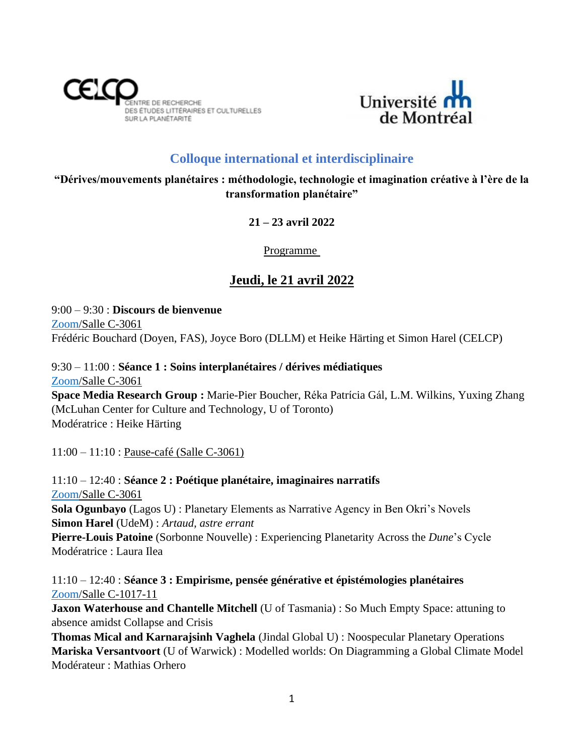



# **Colloque international et interdisciplinaire**

**"Dérives/mouvements planétaires : méthodologie, technologie et imagination créative à l'ère de la transformation planétaire"**

**21 – 23 avril 2022**

Programme

# **Jeudi, le 21 avril 2022**

9:00 – 9:30 : **Discours de bienvenue** [Zoom/](https://l.facebook.com/l.php?u=https%3A%2F%2Fumontreal.zoom.us%2Fj%2F82497792347%3Fpwd%3DRERpQy94TitrTDgrVVMxREljTzFuQT09%26fbclid%3DIwAR3D7R8JMBZIn7PDbrH_gtiCN0ag3PkxOaPL7g3l6YPYgDTn9LhVA6trsTo&h=AT1xRUrjQy2Qng0PBQeWgPBgueiAI-Cx-M4wn9w94RtpHeqwfwMRALdzHahPSRhVZldjoPZl5poYPTrU_aLh2H-uNN7JSmK4KfdoS4yZJXkstDSZex_IQNM7H6491UdDlw&__tn__=q&c%5b0%5d=AT02JFICIQVJ8jj-xPFmiofJCX-I8akXbKsmaT47l1hnfImCkGLSs_uSZw0xx363inzHEp8Qe5KbrVN4VqbtGFzd1lju_uBXbc7nJhfKc90g66sPEVeX56Qs6cC7PjNosyCuqckxO5A_loz97jOv3Ae7)Salle C-3061 Frédéric Bouchard (Doyen, FAS), Joyce Boro (DLLM) et Heike Härting et Simon Harel (CELCP)

9:30 – 11:00 : **Séance 1 : Soins interplanétaires / dérives médiatiques** [Zoom/](https://l.facebook.com/l.php?u=https%3A%2F%2Fumontreal.zoom.us%2Fj%2F82497792347%3Fpwd%3DRERpQy94TitrTDgrVVMxREljTzFuQT09%26fbclid%3DIwAR3D7R8JMBZIn7PDbrH_gtiCN0ag3PkxOaPL7g3l6YPYgDTn9LhVA6trsTo&h=AT1xRUrjQy2Qng0PBQeWgPBgueiAI-Cx-M4wn9w94RtpHeqwfwMRALdzHahPSRhVZldjoPZl5poYPTrU_aLh2H-uNN7JSmK4KfdoS4yZJXkstDSZex_IQNM7H6491UdDlw&__tn__=q&c%5b0%5d=AT02JFICIQVJ8jj-xPFmiofJCX-I8akXbKsmaT47l1hnfImCkGLSs_uSZw0xx363inzHEp8Qe5KbrVN4VqbtGFzd1lju_uBXbc7nJhfKc90g66sPEVeX56Qs6cC7PjNosyCuqckxO5A_loz97jOv3Ae7)Salle C-3061 **Space Media Research Group :** Marie-Pier Boucher, Réka Patrícia Gál, L.M. Wilkins, Yuxing Zhang (McLuhan Center for Culture and Technology, U of Toronto) Modératrice : Heike Härting

11:00 – 11:10 : Pause-café (Salle C-3061)

11:10 – 12:40 : **Séance 2 : Poétique planétaire, imaginaires narratifs** [Zoom/](https://l.facebook.com/l.php?u=https%3A%2F%2Fumontreal.zoom.us%2Fj%2F82497792347%3Fpwd%3DRERpQy94TitrTDgrVVMxREljTzFuQT09%26fbclid%3DIwAR3D7R8JMBZIn7PDbrH_gtiCN0ag3PkxOaPL7g3l6YPYgDTn9LhVA6trsTo&h=AT1xRUrjQy2Qng0PBQeWgPBgueiAI-Cx-M4wn9w94RtpHeqwfwMRALdzHahPSRhVZldjoPZl5poYPTrU_aLh2H-uNN7JSmK4KfdoS4yZJXkstDSZex_IQNM7H6491UdDlw&__tn__=q&c%5b0%5d=AT02JFICIQVJ8jj-xPFmiofJCX-I8akXbKsmaT47l1hnfImCkGLSs_uSZw0xx363inzHEp8Qe5KbrVN4VqbtGFzd1lju_uBXbc7nJhfKc90g66sPEVeX56Qs6cC7PjNosyCuqckxO5A_loz97jOv3Ae7)Salle C-3061 **Sola Ogunbayo** (Lagos U) : Planetary Elements as Narrative Agency in Ben Okri's Novels **Simon Harel** (UdeM) : *Artaud, astre errant* **Pierre-Louis Patoine** (Sorbonne Nouvelle) : Experiencing Planetarity Across the *Dune*'s Cycle Modératrice : Laura Ilea

11:10 – 12:40 : **Séance 3 : Empirisme, pensée générative et épistémologies planétaires** [Zoom/](https://l.facebook.com/l.php?u=https%3A%2F%2Fumontreal.zoom.us%2Fj%2F82172261501%3Fpwd%3DKzVnUDRibzI5OGhLalNMQnlCMHVkQT09%26fbclid%3DIwAR2q6vl4wHr5A4lCQQ8R1iDg06kdHSzhD30QUInXkLuofYw7SUpHTuEzaaY&h=AT28qz9VQLfKZO253LwK2WHuV7hTrpc0RiJCyeATSdv6zKBS5-ItIzj5bTEdQp4qf4oTZljFp8kqT_LvqR9ITH4LHgGzLSEWG3DtQb3VAciwhCyVyhJ9wWryUroEDjQGaA&__tn__=q&c%5b0%5d=AT02JFICIQVJ8jj-xPFmiofJCX-I8akXbKsmaT47l1hnfImCkGLSs_uSZw0xx363inzHEp8Qe5KbrVN4VqbtGFzd1lju_uBXbc7nJhfKc90g66sPEVeX56Qs6cC7PjNosyCuqckxO5A_loz97jOv3Ae7)Salle C-1017-11

**Jaxon Waterhouse and Chantelle Mitchell** (U of Tasmania) : So Much Empty Space: attuning to absence amidst Collapse and Crisis

**Thomas Mical and Karnarajsinh Vaghela** (Jindal Global U) : Noospecular Planetary Operations **Mariska Versantvoort** (U of Warwick) : Modelled worlds: On Diagramming a Global Climate Model Modérateur : Mathias Orhero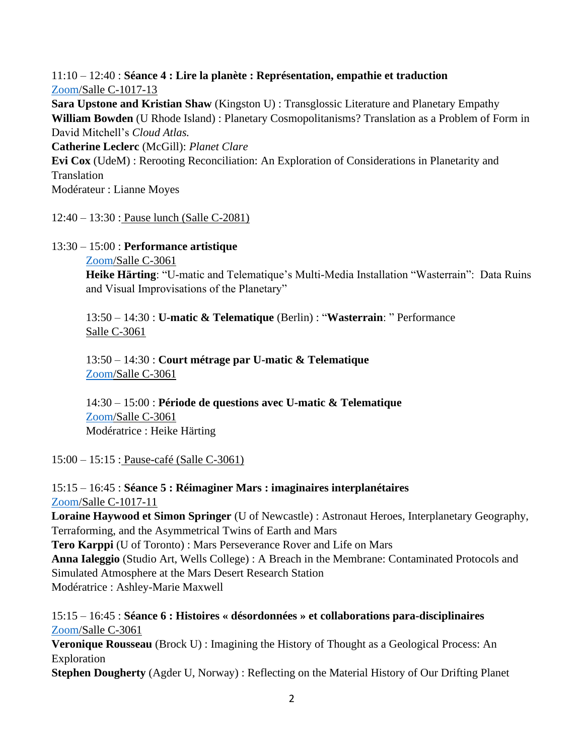#### 11:10 – 12:40 : **Séance 4 : Lire la planète : Représentation, empathie et traduction** [Zoom/](https://l.facebook.com/l.php?u=https%3A%2F%2Fumontreal.zoom.us%2Fj%2F88960339558%3Fpwd%3DMU9CVXBHTnY0ZU9oSjJCeFptQjhrQT09%26fbclid%3DIwAR2vkDK2E2NZrTG3kadoJrk9EwDleiwpwLHptQIZWVNqswFwu-hZZ4aQnfc&h=AT3txvkcksTVLzPab1-XFGjWAbQXCic6aGeROT_0YL7JnTXLJJwc_g4hyPD2fr1NLSDCpULLZyYemUejr39Ju-VYOCis_CbEmZKXgM8Mc1TV1kG2JPT05PSX0meu348bTw&__tn__=q&c%5b0%5d=AT02JFICIQVJ8jj-xPFmiofJCX-I8akXbKsmaT47l1hnfImCkGLSs_uSZw0xx363inzHEp8Qe5KbrVN4VqbtGFzd1lju_uBXbc7nJhfKc90g66sPEVeX56Qs6cC7PjNosyCuqckxO5A_loz97jOv3Ae7)Salle C-1017-13

**Sara Upstone and Kristian Shaw** (Kingston U) : Transglossic Literature and Planetary Empathy **William Bowden** (U Rhode Island) : Planetary Cosmopolitanisms? Translation as a Problem of Form in David Mitchell's *Cloud Atlas.*

**Catherine Leclerc** (McGill): *Planet Clare*

**Evi Cox** (UdeM) : Rerooting Reconciliation: An Exploration of Considerations in Planetarity and Translation

Modérateur : Lianne Moyes

12:40 – 13:30 : Pause lunch (Salle C-2081)

#### 13:30 – 15:00 : **Performance artistique**

[Zoom/](https://l.facebook.com/l.php?u=https%3A%2F%2Fumontreal.zoom.us%2Fj%2F82497792347%3Fpwd%3DRERpQy94TitrTDgrVVMxREljTzFuQT09%26fbclid%3DIwAR3D7R8JMBZIn7PDbrH_gtiCN0ag3PkxOaPL7g3l6YPYgDTn9LhVA6trsTo&h=AT1xRUrjQy2Qng0PBQeWgPBgueiAI-Cx-M4wn9w94RtpHeqwfwMRALdzHahPSRhVZldjoPZl5poYPTrU_aLh2H-uNN7JSmK4KfdoS4yZJXkstDSZex_IQNM7H6491UdDlw&__tn__=q&c%5b0%5d=AT02JFICIQVJ8jj-xPFmiofJCX-I8akXbKsmaT47l1hnfImCkGLSs_uSZw0xx363inzHEp8Qe5KbrVN4VqbtGFzd1lju_uBXbc7nJhfKc90g66sPEVeX56Qs6cC7PjNosyCuqckxO5A_loz97jOv3Ae7)Salle C-3061

**Heike Härting**: "U-matic and Telematique's Multi-Media Installation "Wasterrain": Data Ruins and Visual Improvisations of the Planetary"

13:50 – 14:30 : **U-matic & Telematique** (Berlin) : "**Wasterrain**: " Performance Salle C-3061

13:50 – 14:30 : **Court métrage par U-matic & Telematique** [Zoom/](https://l.facebook.com/l.php?u=https%3A%2F%2Fumontreal.zoom.us%2Fj%2F82497792347%3Fpwd%3DRERpQy94TitrTDgrVVMxREljTzFuQT09%26fbclid%3DIwAR3D7R8JMBZIn7PDbrH_gtiCN0ag3PkxOaPL7g3l6YPYgDTn9LhVA6trsTo&h=AT1xRUrjQy2Qng0PBQeWgPBgueiAI-Cx-M4wn9w94RtpHeqwfwMRALdzHahPSRhVZldjoPZl5poYPTrU_aLh2H-uNN7JSmK4KfdoS4yZJXkstDSZex_IQNM7H6491UdDlw&__tn__=q&c%5b0%5d=AT02JFICIQVJ8jj-xPFmiofJCX-I8akXbKsmaT47l1hnfImCkGLSs_uSZw0xx363inzHEp8Qe5KbrVN4VqbtGFzd1lju_uBXbc7nJhfKc90g66sPEVeX56Qs6cC7PjNosyCuqckxO5A_loz97jOv3Ae7)Salle C-3061

14:30 – 15:00 : **Période de questions avec U-matic & Telematique** [Zoom/](https://l.facebook.com/l.php?u=https%3A%2F%2Fumontreal.zoom.us%2Fj%2F82497792347%3Fpwd%3DRERpQy94TitrTDgrVVMxREljTzFuQT09%26fbclid%3DIwAR3D7R8JMBZIn7PDbrH_gtiCN0ag3PkxOaPL7g3l6YPYgDTn9LhVA6trsTo&h=AT1xRUrjQy2Qng0PBQeWgPBgueiAI-Cx-M4wn9w94RtpHeqwfwMRALdzHahPSRhVZldjoPZl5poYPTrU_aLh2H-uNN7JSmK4KfdoS4yZJXkstDSZex_IQNM7H6491UdDlw&__tn__=q&c%5b0%5d=AT02JFICIQVJ8jj-xPFmiofJCX-I8akXbKsmaT47l1hnfImCkGLSs_uSZw0xx363inzHEp8Qe5KbrVN4VqbtGFzd1lju_uBXbc7nJhfKc90g66sPEVeX56Qs6cC7PjNosyCuqckxO5A_loz97jOv3Ae7)Salle C-3061 Modératrice : Heike Härting

15:00 – 15:15 : Pause-café (Salle C-3061)

15:15 – 16:45 : **Séance 5 : Réimaginer Mars : imaginaires interplanétaires** [Zoom/](https://l.facebook.com/l.php?u=https%3A%2F%2Fumontreal.zoom.us%2Fj%2F82497792347%3Fpwd%3DRERpQy94TitrTDgrVVMxREljTzFuQT09%26fbclid%3DIwAR3D7R8JMBZIn7PDbrH_gtiCN0ag3PkxOaPL7g3l6YPYgDTn9LhVA6trsTo&h=AT1xRUrjQy2Qng0PBQeWgPBgueiAI-Cx-M4wn9w94RtpHeqwfwMRALdzHahPSRhVZldjoPZl5poYPTrU_aLh2H-uNN7JSmK4KfdoS4yZJXkstDSZex_IQNM7H6491UdDlw&__tn__=q&c%5b0%5d=AT02JFICIQVJ8jj-xPFmiofJCX-I8akXbKsmaT47l1hnfImCkGLSs_uSZw0xx363inzHEp8Qe5KbrVN4VqbtGFzd1lju_uBXbc7nJhfKc90g66sPEVeX56Qs6cC7PjNosyCuqckxO5A_loz97jOv3Ae7)Salle C-1017-11

**Loraine Haywood et Simon Springer** (U of Newcastle) : Astronaut Heroes, Interplanetary Geography, Terraforming, and the Asymmetrical Twins of Earth and Mars **Tero Karppi** (U of Toronto) : Mars Perseverance Rover and Life on Mars

**Anna Ialeggio** (Studio Art, Wells College) : A Breach in the Membrane: Contaminated Protocols and Simulated Atmosphere at the Mars Desert Research Station Modératrice : Ashley-Marie Maxwell

15:15 – 16:45 : **Séance 6 : Histoires « désordonnées » et collaborations para-disciplinaires** [Zoom/](https://l.facebook.com/l.php?u=https%3A%2F%2Fumontreal.zoom.us%2Fj%2F82172261501%3Fpwd%3DKzVnUDRibzI5OGhLalNMQnlCMHVkQT09%26fbclid%3DIwAR2q6vl4wHr5A4lCQQ8R1iDg06kdHSzhD30QUInXkLuofYw7SUpHTuEzaaY&h=AT28qz9VQLfKZO253LwK2WHuV7hTrpc0RiJCyeATSdv6zKBS5-ItIzj5bTEdQp4qf4oTZljFp8kqT_LvqR9ITH4LHgGzLSEWG3DtQb3VAciwhCyVyhJ9wWryUroEDjQGaA&__tn__=q&c%5b0%5d=AT02JFICIQVJ8jj-xPFmiofJCX-I8akXbKsmaT47l1hnfImCkGLSs_uSZw0xx363inzHEp8Qe5KbrVN4VqbtGFzd1lju_uBXbc7nJhfKc90g66sPEVeX56Qs6cC7PjNosyCuqckxO5A_loz97jOv3Ae7)Salle C-3061

**Veronique Rousseau** (Brock U) : Imagining the History of Thought as a Geological Process: An Exploration

**Stephen Dougherty** (Agder U, Norway) : Reflecting on the Material History of Our Drifting Planet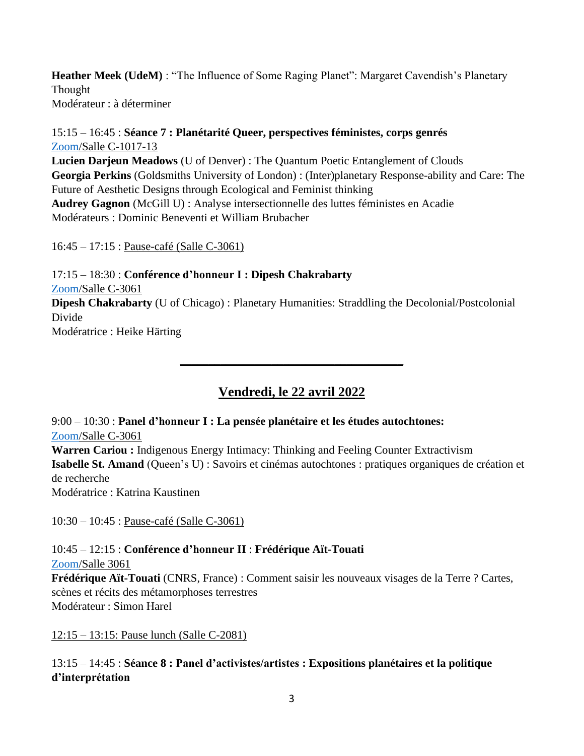**Heather Meek (UdeM)** : "The Influence of Some Raging Planet": Margaret Cavendish's Planetary Thought Modérateur : à déterminer

### 15:15 – 16:45 : **Séance 7 : Planétarité Queer, perspectives féministes, corps genrés** [Zoom/](https://l.facebook.com/l.php?u=https%3A%2F%2Fumontreal.zoom.us%2Fj%2F88960339558%3Fpwd%3DMU9CVXBHTnY0ZU9oSjJCeFptQjhrQT09%26fbclid%3DIwAR2vkDK2E2NZrTG3kadoJrk9EwDleiwpwLHptQIZWVNqswFwu-hZZ4aQnfc&h=AT3txvkcksTVLzPab1-XFGjWAbQXCic6aGeROT_0YL7JnTXLJJwc_g4hyPD2fr1NLSDCpULLZyYemUejr39Ju-VYOCis_CbEmZKXgM8Mc1TV1kG2JPT05PSX0meu348bTw&__tn__=q&c%5b0%5d=AT02JFICIQVJ8jj-xPFmiofJCX-I8akXbKsmaT47l1hnfImCkGLSs_uSZw0xx363inzHEp8Qe5KbrVN4VqbtGFzd1lju_uBXbc7nJhfKc90g66sPEVeX56Qs6cC7PjNosyCuqckxO5A_loz97jOv3Ae7)Salle C-1017-13

**Lucien Darjeun Meadows** (U of Denver) : The Quantum Poetic Entanglement of Clouds **Georgia Perkins** (Goldsmiths University of London) : (Inter)planetary Response-ability and Care: The Future of Aesthetic Designs through Ecological and Feminist thinking **Audrey Gagnon** (McGill U) : Analyse intersectionnelle des luttes féministes en Acadie Modérateurs : Dominic Beneventi et William Brubacher

16:45 – 17:15 : Pause-café (Salle C-3061)

17:15 – 18:30 : **Conférence d'honneur I : Dipesh Chakrabarty** [Zoom/](https://l.facebook.com/l.php?u=https%3A%2F%2Fumontreal.zoom.us%2Fj%2F82497792347%3Fpwd%3DRERpQy94TitrTDgrVVMxREljTzFuQT09%26fbclid%3DIwAR3D7R8JMBZIn7PDbrH_gtiCN0ag3PkxOaPL7g3l6YPYgDTn9LhVA6trsTo&h=AT1xRUrjQy2Qng0PBQeWgPBgueiAI-Cx-M4wn9w94RtpHeqwfwMRALdzHahPSRhVZldjoPZl5poYPTrU_aLh2H-uNN7JSmK4KfdoS4yZJXkstDSZex_IQNM7H6491UdDlw&__tn__=q&c%5b0%5d=AT02JFICIQVJ8jj-xPFmiofJCX-I8akXbKsmaT47l1hnfImCkGLSs_uSZw0xx363inzHEp8Qe5KbrVN4VqbtGFzd1lju_uBXbc7nJhfKc90g66sPEVeX56Qs6cC7PjNosyCuqckxO5A_loz97jOv3Ae7)Salle C-3061 **Dipesh Chakrabarty** (U of Chicago) : Planetary Humanities: Straddling the Decolonial/Postcolonial Divide Modératrice : Heike Härting

# **Vendredi, le 22 avril 2022**

**\_\_\_\_\_\_\_\_\_\_\_\_\_\_\_\_\_\_\_\_\_\_\_\_\_\_\_\_\_\_\_\_\_\_\_\_\_\_\_**

9:00 – 10:30 : **Panel d'honneur I : La pensée planétaire et les études autochtones:**  [Zoom/](https://l.facebook.com/l.php?u=https%3A%2F%2Fumontreal.zoom.us%2Fj%2F82497792347%3Fpwd%3DRERpQy94TitrTDgrVVMxREljTzFuQT09%26fbclid%3DIwAR3D7R8JMBZIn7PDbrH_gtiCN0ag3PkxOaPL7g3l6YPYgDTn9LhVA6trsTo&h=AT1xRUrjQy2Qng0PBQeWgPBgueiAI-Cx-M4wn9w94RtpHeqwfwMRALdzHahPSRhVZldjoPZl5poYPTrU_aLh2H-uNN7JSmK4KfdoS4yZJXkstDSZex_IQNM7H6491UdDlw&__tn__=q&c%5b0%5d=AT02JFICIQVJ8jj-xPFmiofJCX-I8akXbKsmaT47l1hnfImCkGLSs_uSZw0xx363inzHEp8Qe5KbrVN4VqbtGFzd1lju_uBXbc7nJhfKc90g66sPEVeX56Qs6cC7PjNosyCuqckxO5A_loz97jOv3Ae7)Salle C-3061 **Warren Cariou :** Indigenous Energy Intimacy: Thinking and Feeling Counter Extractivism **Isabelle St. Amand** (Queen's U) : Savoirs et cinémas autochtones : pratiques organiques de création et de recherche

Modératrice : Katrina Kaustinen

10:30 – 10:45 : Pause-café (Salle C-3061)

### 10:45 – 12:15 : **Conférence d'honneur II** : **Frédérique Aït-Touati** [Zoom/](https://l.facebook.com/l.php?u=https%3A%2F%2Fumontreal.zoom.us%2Fj%2F82497792347%3Fpwd%3DRERpQy94TitrTDgrVVMxREljTzFuQT09%26fbclid%3DIwAR3D7R8JMBZIn7PDbrH_gtiCN0ag3PkxOaPL7g3l6YPYgDTn9LhVA6trsTo&h=AT1xRUrjQy2Qng0PBQeWgPBgueiAI-Cx-M4wn9w94RtpHeqwfwMRALdzHahPSRhVZldjoPZl5poYPTrU_aLh2H-uNN7JSmK4KfdoS4yZJXkstDSZex_IQNM7H6491UdDlw&__tn__=q&c%5b0%5d=AT02JFICIQVJ8jj-xPFmiofJCX-I8akXbKsmaT47l1hnfImCkGLSs_uSZw0xx363inzHEp8Qe5KbrVN4VqbtGFzd1lju_uBXbc7nJhfKc90g66sPEVeX56Qs6cC7PjNosyCuqckxO5A_loz97jOv3Ae7)Salle 3061

**Frédérique Aït-Touati** (CNRS, France) : Comment saisir les nouveaux visages de la Terre ? Cartes, scènes et récits des métamorphoses terrestres Modérateur : Simon Harel

12:15 – 13:15: Pause lunch (Salle C-2081)

13:15 – 14:45 : **Séance 8 : Panel d'activistes/artistes : Expositions planétaires et la politique d'interprétation**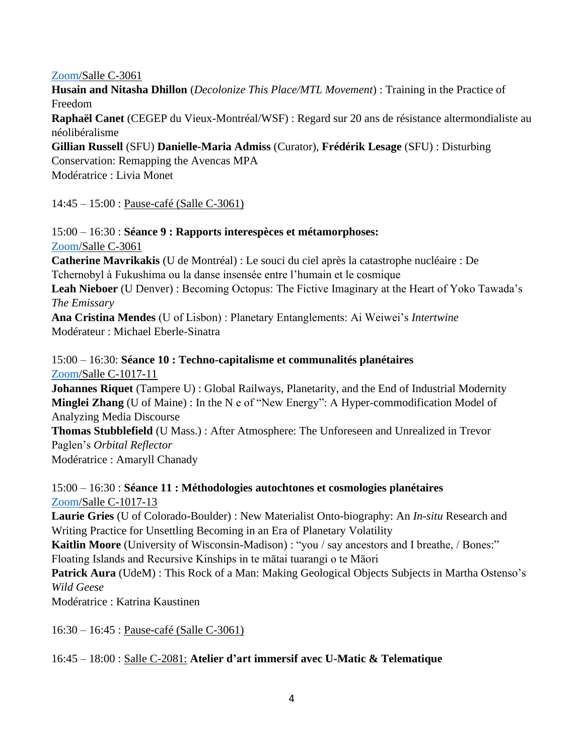### [Zoom/](https://l.facebook.com/l.php?u=https%3A%2F%2Fumontreal.zoom.us%2Fj%2F82497792347%3Fpwd%3DRERpQy94TitrTDgrVVMxREljTzFuQT09%26fbclid%3DIwAR3D7R8JMBZIn7PDbrH_gtiCN0ag3PkxOaPL7g3l6YPYgDTn9LhVA6trsTo&h=AT1xRUrjQy2Qng0PBQeWgPBgueiAI-Cx-M4wn9w94RtpHeqwfwMRALdzHahPSRhVZldjoPZl5poYPTrU_aLh2H-uNN7JSmK4KfdoS4yZJXkstDSZex_IQNM7H6491UdDlw&__tn__=q&c%5b0%5d=AT02JFICIQVJ8jj-xPFmiofJCX-I8akXbKsmaT47l1hnfImCkGLSs_uSZw0xx363inzHEp8Qe5KbrVN4VqbtGFzd1lju_uBXbc7nJhfKc90g66sPEVeX56Qs6cC7PjNosyCuqckxO5A_loz97jOv3Ae7)Salle C-3061

**Husain and Nitasha Dhillon** (*Decolonize This Place/MTL Movement*) : Training in the Practice of Freedom

**Raphaël Canet** (CEGEP du Vieux-Montréal/WSF) : Regard sur 20 ans de résistance altermondialiste au néolibéralisme

**Gillian Russell** (SFU) **Danielle-Maria Admiss** (Curator), **Frédérik Lesage** (SFU) : Disturbing

Conservation: Remapping the Avencas MPA Modératrice : Livia Monet

14:45 – 15:00 : Pause-café (Salle C-3061)

### 15:00 – 16:30 : **Séance 9 : Rapports interespèces et métamorphoses:**  [Zoom/](https://l.facebook.com/l.php?u=https%3A%2F%2Fumontreal.zoom.us%2Fj%2F82497792347%3Fpwd%3DRERpQy94TitrTDgrVVMxREljTzFuQT09%26fbclid%3DIwAR3D7R8JMBZIn7PDbrH_gtiCN0ag3PkxOaPL7g3l6YPYgDTn9LhVA6trsTo&h=AT1xRUrjQy2Qng0PBQeWgPBgueiAI-Cx-M4wn9w94RtpHeqwfwMRALdzHahPSRhVZldjoPZl5poYPTrU_aLh2H-uNN7JSmK4KfdoS4yZJXkstDSZex_IQNM7H6491UdDlw&__tn__=q&c%5b0%5d=AT02JFICIQVJ8jj-xPFmiofJCX-I8akXbKsmaT47l1hnfImCkGLSs_uSZw0xx363inzHEp8Qe5KbrVN4VqbtGFzd1lju_uBXbc7nJhfKc90g66sPEVeX56Qs6cC7PjNosyCuqckxO5A_loz97jOv3Ae7)Salle C-3061

**Catherine Mavrikakis** (U de Montréal) : Le souci du ciel après la catastrophe nucléaire : De Tchernobyl à Fukushima ou la danse insensée entre l'humain et le cosmique

**Leah Nieboer** (U Denver) : Becoming Octopus: The Fictive Imaginary at the Heart of Yoko Tawada's *The Emissary*

**Ana Cristina Mendes** (U of Lisbon) : Planetary Entanglements: Ai Weiwei's *Intertwine* Modérateur : Michael Eberle-Sinatra

### 15:00 – 16:30: **Séance 10 : Techno-capitalisme et communalités planétaires** [Zoom/](https://l.facebook.com/l.php?u=https%3A%2F%2Fumontreal.zoom.us%2Fj%2F82172261501%3Fpwd%3DKzVnUDRibzI5OGhLalNMQnlCMHVkQT09%26fbclid%3DIwAR2q6vl4wHr5A4lCQQ8R1iDg06kdHSzhD30QUInXkLuofYw7SUpHTuEzaaY&h=AT28qz9VQLfKZO253LwK2WHuV7hTrpc0RiJCyeATSdv6zKBS5-ItIzj5bTEdQp4qf4oTZljFp8kqT_LvqR9ITH4LHgGzLSEWG3DtQb3VAciwhCyVyhJ9wWryUroEDjQGaA&__tn__=q&c%5b0%5d=AT02JFICIQVJ8jj-xPFmiofJCX-I8akXbKsmaT47l1hnfImCkGLSs_uSZw0xx363inzHEp8Qe5KbrVN4VqbtGFzd1lju_uBXbc7nJhfKc90g66sPEVeX56Qs6cC7PjNosyCuqckxO5A_loz97jOv3Ae7)Salle C-1017-11

**Johannes Riquet** (Tampere U) : Global Railways, Planetarity, and the End of Industrial Modernity **Minglei Zhang** (U of Maine) : In the N e of "New Energy": A Hyper-commodification Model of Analyzing Media Discourse

**Thomas Stubblefield** (U Mass.) : After Atmosphere: The Unforeseen and Unrealized in Trevor Paglen's *Orbital Reflector*  Modératrice : Amaryll Chanady

15:00 – 16:30 : **Séance 11 : Méthodologies autochtones et cosmologies planétaires** [Zoom/](https://l.facebook.com/l.php?u=https%3A%2F%2Fumontreal.zoom.us%2Fj%2F88960339558%3Fpwd%3DMU9CVXBHTnY0ZU9oSjJCeFptQjhrQT09%26fbclid%3DIwAR2vkDK2E2NZrTG3kadoJrk9EwDleiwpwLHptQIZWVNqswFwu-hZZ4aQnfc&h=AT3txvkcksTVLzPab1-XFGjWAbQXCic6aGeROT_0YL7JnTXLJJwc_g4hyPD2fr1NLSDCpULLZyYemUejr39Ju-VYOCis_CbEmZKXgM8Mc1TV1kG2JPT05PSX0meu348bTw&__tn__=q&c%5b0%5d=AT02JFICIQVJ8jj-xPFmiofJCX-I8akXbKsmaT47l1hnfImCkGLSs_uSZw0xx363inzHEp8Qe5KbrVN4VqbtGFzd1lju_uBXbc7nJhfKc90g66sPEVeX56Qs6cC7PjNosyCuqckxO5A_loz97jOv3Ae7)Salle C-1017-13

**Laurie Gries** (U of Colorado-Boulder) : New Materialist Onto-biography: An *In-situ* Research and Writing Practice for Unsettling Becoming in an Era of Planetary Volatility

**Kaitlin Moore** (University of Wisconsin-Madison) : "you / say ancestors and I breathe, / Bones:" Floating Islands and Recursive Kinships in te mātai tuarangi o te Māori

**Patrick Aura** (UdeM) : This Rock of a Man: Making Geological Objects Subjects in Martha Ostenso's *Wild Geese*

Modératrice : Katrina Kaustinen

16:30 – 16:45 : Pause-café (Salle C-3061)

## 16:45 – 18:00 : Salle C-2081: **Atelier d'art immersif avec U-Matic & Telematique**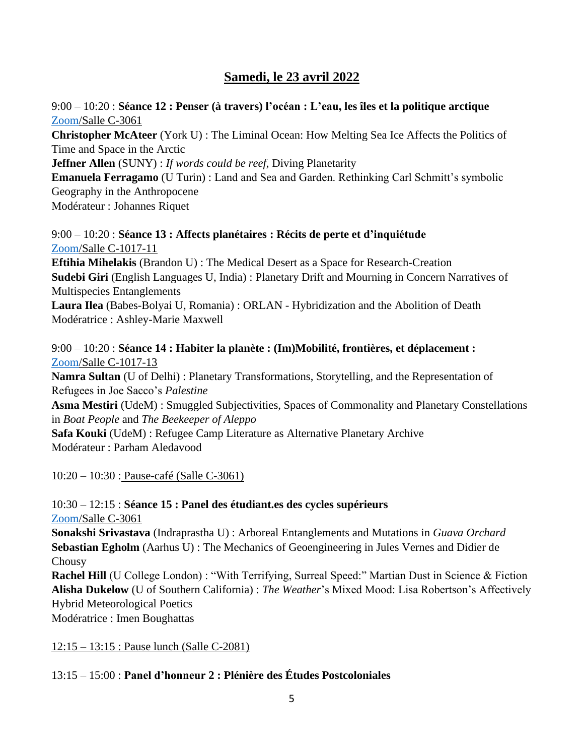# **Samedi, le 23 avril 2022**

#### 9:00 – 10:20 : **Séance 12 : Penser (à travers) l'océan : L'eau, les îles et la politique arctique** [Zoom/](https://l.facebook.com/l.php?u=https%3A%2F%2Fumontreal.zoom.us%2Fj%2F82497792347%3Fpwd%3DRERpQy94TitrTDgrVVMxREljTzFuQT09%26fbclid%3DIwAR3D7R8JMBZIn7PDbrH_gtiCN0ag3PkxOaPL7g3l6YPYgDTn9LhVA6trsTo&h=AT1xRUrjQy2Qng0PBQeWgPBgueiAI-Cx-M4wn9w94RtpHeqwfwMRALdzHahPSRhVZldjoPZl5poYPTrU_aLh2H-uNN7JSmK4KfdoS4yZJXkstDSZex_IQNM7H6491UdDlw&__tn__=q&c%5b0%5d=AT02JFICIQVJ8jj-xPFmiofJCX-I8akXbKsmaT47l1hnfImCkGLSs_uSZw0xx363inzHEp8Qe5KbrVN4VqbtGFzd1lju_uBXbc7nJhfKc90g66sPEVeX56Qs6cC7PjNosyCuqckxO5A_loz97jOv3Ae7)Salle C-3061

**Christopher McAteer** (York U) : The Liminal Ocean: How Melting Sea Ice Affects the Politics of Time and Space in the Arctic

**Jeffner Allen** (SUNY) : *If words could be reef*, Diving Planetarity

**Emanuela Ferragamo** (U Turin) : Land and Sea and Garden. Rethinking Carl Schmitt's symbolic Geography in the Anthropocene Modérateur : Johannes Riquet

## 9:00 – 10:20 : **Séance 13 : Affects planétaires : Récits de perte et d'inquiétude**  [Zoom/](https://l.facebook.com/l.php?u=https%3A%2F%2Fumontreal.zoom.us%2Fj%2F82172261501%3Fpwd%3DKzVnUDRibzI5OGhLalNMQnlCMHVkQT09%26fbclid%3DIwAR2q6vl4wHr5A4lCQQ8R1iDg06kdHSzhD30QUInXkLuofYw7SUpHTuEzaaY&h=AT28qz9VQLfKZO253LwK2WHuV7hTrpc0RiJCyeATSdv6zKBS5-ItIzj5bTEdQp4qf4oTZljFp8kqT_LvqR9ITH4LHgGzLSEWG3DtQb3VAciwhCyVyhJ9wWryUroEDjQGaA&__tn__=q&c%5b0%5d=AT02JFICIQVJ8jj-xPFmiofJCX-I8akXbKsmaT47l1hnfImCkGLSs_uSZw0xx363inzHEp8Qe5KbrVN4VqbtGFzd1lju_uBXbc7nJhfKc90g66sPEVeX56Qs6cC7PjNosyCuqckxO5A_loz97jOv3Ae7)Salle C-1017-11

**Eftihia Mihelakis** (Brandon U) : The Medical Desert as a Space for Research-Creation **Sudebi Giri** (English Languages U, India) : Planetary Drift and Mourning in Concern Narratives of Multispecies Entanglements

**Laura Ilea** (Babes-Bolyai U, Romania) : ORLAN - Hybridization and the Abolition of Death Modératrice : Ashley-Marie Maxwell

### 9:00 – 10:20 : **Séance 14 : Habiter la planète : (Im)Mobilité, frontières, et déplacement :**  [Zoom/](https://l.facebook.com/l.php?u=https%3A%2F%2Fumontreal.zoom.us%2Fj%2F88960339558%3Fpwd%3DMU9CVXBHTnY0ZU9oSjJCeFptQjhrQT09%26fbclid%3DIwAR2vkDK2E2NZrTG3kadoJrk9EwDleiwpwLHptQIZWVNqswFwu-hZZ4aQnfc&h=AT3txvkcksTVLzPab1-XFGjWAbQXCic6aGeROT_0YL7JnTXLJJwc_g4hyPD2fr1NLSDCpULLZyYemUejr39Ju-VYOCis_CbEmZKXgM8Mc1TV1kG2JPT05PSX0meu348bTw&__tn__=q&c%5b0%5d=AT02JFICIQVJ8jj-xPFmiofJCX-I8akXbKsmaT47l1hnfImCkGLSs_uSZw0xx363inzHEp8Qe5KbrVN4VqbtGFzd1lju_uBXbc7nJhfKc90g66sPEVeX56Qs6cC7PjNosyCuqckxO5A_loz97jOv3Ae7)Salle C-1017-13

**Namra Sultan** (U of Delhi) : Planetary Transformations, Storytelling, and the Representation of Refugees in Joe Sacco's *Palestine*

**Asma Mestiri** (UdeM) : Smuggled Subjectivities, Spaces of Commonality and Planetary Constellations in *Boat People* and *The Beekeeper of Aleppo*

**Safa Kouki** (UdeM) : Refugee Camp Literature as Alternative Planetary Archive Modérateur : Parham Aledavood

10:20 – 10:30 : Pause-café (Salle C-3061)

## 10:30 – 12:15 : **Séance 15 : Panel des étudiant.es des cycles supérieurs** [Zoom/](https://l.facebook.com/l.php?u=https%3A%2F%2Fumontreal.zoom.us%2Fj%2F82497792347%3Fpwd%3DRERpQy94TitrTDgrVVMxREljTzFuQT09%26fbclid%3DIwAR3D7R8JMBZIn7PDbrH_gtiCN0ag3PkxOaPL7g3l6YPYgDTn9LhVA6trsTo&h=AT1xRUrjQy2Qng0PBQeWgPBgueiAI-Cx-M4wn9w94RtpHeqwfwMRALdzHahPSRhVZldjoPZl5poYPTrU_aLh2H-uNN7JSmK4KfdoS4yZJXkstDSZex_IQNM7H6491UdDlw&__tn__=q&c%5b0%5d=AT02JFICIQVJ8jj-xPFmiofJCX-I8akXbKsmaT47l1hnfImCkGLSs_uSZw0xx363inzHEp8Qe5KbrVN4VqbtGFzd1lju_uBXbc7nJhfKc90g66sPEVeX56Qs6cC7PjNosyCuqckxO5A_loz97jOv3Ae7)Salle C-3061

**Sonakshi Srivastava** (Indraprastha U) : Arboreal Entanglements and Mutations in *Guava Orchard* **Sebastian Egholm** (Aarhus U) : The Mechanics of Geoengineering in Jules Vernes and Didier de Chousy

**Rachel Hill** (U College London) : "With Terrifying, Surreal Speed:" Martian Dust in Science & Fiction **Alisha Dukelow** (U of Southern California) : *The Weather*'s Mixed Mood: Lisa Robertson's Affectively Hybrid Meteorological Poetics

Modératrice : Imen Boughattas

12:15 – 13:15 : Pause lunch (Salle C-2081)

## 13:15 – 15:00 : **Panel d'honneur 2 : Plénière des Études Postcoloniales**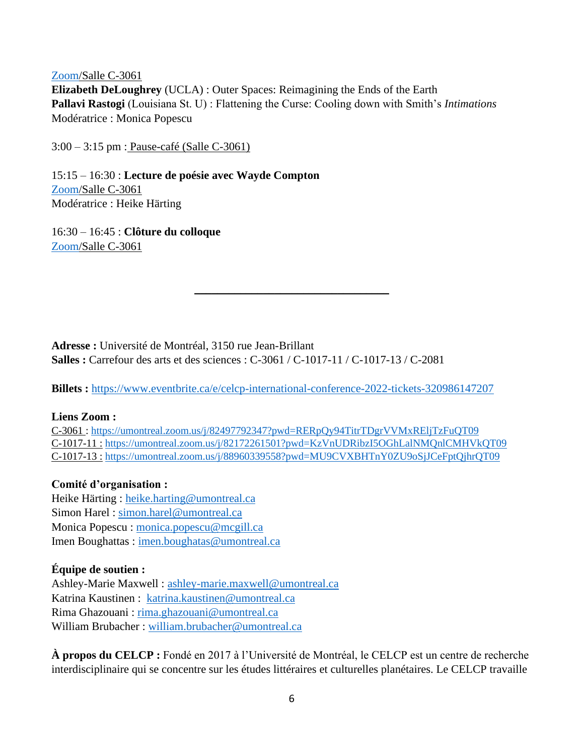#### [Zoom/](https://l.facebook.com/l.php?u=https%3A%2F%2Fumontreal.zoom.us%2Fj%2F82497792347%3Fpwd%3DRERpQy94TitrTDgrVVMxREljTzFuQT09%26fbclid%3DIwAR3D7R8JMBZIn7PDbrH_gtiCN0ag3PkxOaPL7g3l6YPYgDTn9LhVA6trsTo&h=AT1xRUrjQy2Qng0PBQeWgPBgueiAI-Cx-M4wn9w94RtpHeqwfwMRALdzHahPSRhVZldjoPZl5poYPTrU_aLh2H-uNN7JSmK4KfdoS4yZJXkstDSZex_IQNM7H6491UdDlw&__tn__=q&c%5b0%5d=AT02JFICIQVJ8jj-xPFmiofJCX-I8akXbKsmaT47l1hnfImCkGLSs_uSZw0xx363inzHEp8Qe5KbrVN4VqbtGFzd1lju_uBXbc7nJhfKc90g66sPEVeX56Qs6cC7PjNosyCuqckxO5A_loz97jOv3Ae7)Salle C-3061

**Elizabeth DeLoughrey** (UCLA) : Outer Spaces: Reimagining the Ends of the Earth **Pallavi Rastogi** (Louisiana St. U) : Flattening the Curse: Cooling down with Smith's *Intimations* Modératrice : Monica Popescu

3:00 – 3:15 pm : Pause-café (Salle C-3061)

15:15 – 16:30 : **Lecture de poésie avec Wayde Compton**  [Zoom/](https://l.facebook.com/l.php?u=https%3A%2F%2Fumontreal.zoom.us%2Fj%2F82497792347%3Fpwd%3DRERpQy94TitrTDgrVVMxREljTzFuQT09%26fbclid%3DIwAR3D7R8JMBZIn7PDbrH_gtiCN0ag3PkxOaPL7g3l6YPYgDTn9LhVA6trsTo&h=AT1xRUrjQy2Qng0PBQeWgPBgueiAI-Cx-M4wn9w94RtpHeqwfwMRALdzHahPSRhVZldjoPZl5poYPTrU_aLh2H-uNN7JSmK4KfdoS4yZJXkstDSZex_IQNM7H6491UdDlw&__tn__=q&c%5b0%5d=AT02JFICIQVJ8jj-xPFmiofJCX-I8akXbKsmaT47l1hnfImCkGLSs_uSZw0xx363inzHEp8Qe5KbrVN4VqbtGFzd1lju_uBXbc7nJhfKc90g66sPEVeX56Qs6cC7PjNosyCuqckxO5A_loz97jOv3Ae7)Salle C-3061 Modératrice : Heike Härting

16:30 – 16:45 : **Clôture du colloque** [Zoom/](https://l.facebook.com/l.php?u=https%3A%2F%2Fumontreal.zoom.us%2Fj%2F82497792347%3Fpwd%3DRERpQy94TitrTDgrVVMxREljTzFuQT09%26fbclid%3DIwAR3D7R8JMBZIn7PDbrH_gtiCN0ag3PkxOaPL7g3l6YPYgDTn9LhVA6trsTo&h=AT1xRUrjQy2Qng0PBQeWgPBgueiAI-Cx-M4wn9w94RtpHeqwfwMRALdzHahPSRhVZldjoPZl5poYPTrU_aLh2H-uNN7JSmK4KfdoS4yZJXkstDSZex_IQNM7H6491UdDlw&__tn__=q&c%5b0%5d=AT02JFICIQVJ8jj-xPFmiofJCX-I8akXbKsmaT47l1hnfImCkGLSs_uSZw0xx363inzHEp8Qe5KbrVN4VqbtGFzd1lju_uBXbc7nJhfKc90g66sPEVeX56Qs6cC7PjNosyCuqckxO5A_loz97jOv3Ae7)Salle C-3061

**Adresse :** Université de Montréal, 3150 rue Jean-Brillant **Salles :** Carrefour des arts et des sciences : C-3061 / C-1017-11 / C-1017-13 / C-2081

**Billets :** <https://www.eventbrite.ca/e/celcp-international-conference-2022-tickets-320986147207>

\_\_\_\_\_\_\_\_\_\_\_\_\_\_\_\_\_\_\_\_\_\_\_\_\_\_\_\_\_\_\_\_\_\_

### **Liens Zoom :**

C-3061 :<https://umontreal.zoom.us/j/82497792347?pwd=RERpQy94TitrTDgrVVMxREljTzFuQT09> C-1017-11 : <https://umontreal.zoom.us/j/82172261501?pwd=KzVnUDRibzI5OGhLalNMQnlCMHVkQT09> C-1017-13 : <https://umontreal.zoom.us/j/88960339558?pwd=MU9CVXBHTnY0ZU9oSjJCeFptQjhrQT09>

### **Comité d'organisation :**

Heike Härting : [heike.harting@umontreal.ca](mailto:heike.harting@umontreal.ca) Simon Harel: [simon.harel@umontreal.ca](mailto:simon.harel@umontreal.ca) Monica Popescu : [monica.popescu@mcgill.ca](mailto:monica.popescu@mcgill.ca) Imen Boughattas : [imen.boughatas@umontreal.ca](mailto:imen.boughatas@umontreal.ca)

### **Équipe de soutien :**

Ashley-Marie Maxwell : [ashley-marie.maxwell@umontreal.ca](mailto:ashley-marie.maxwell@umontreal.ca) Katrina Kaustinen : [katrina.kaustinen@umontreal.ca](mailto:katrina.kaustinen@umontreal.ca) Rima Ghazouani : [rima.ghazouani@umontreal.ca](mailto:rima.ghazouani@umontreal.ca) William Brubacher : [william.brubacher@umontreal.ca](mailto:william.brubacher@umontreal.ca)

**À propos du CELCP :** Fondé en 2017 à l'Université de Montréal, le CELCP est un centre de recherche interdisciplinaire qui se concentre sur les études littéraires et culturelles planétaires. Le CELCP travaille